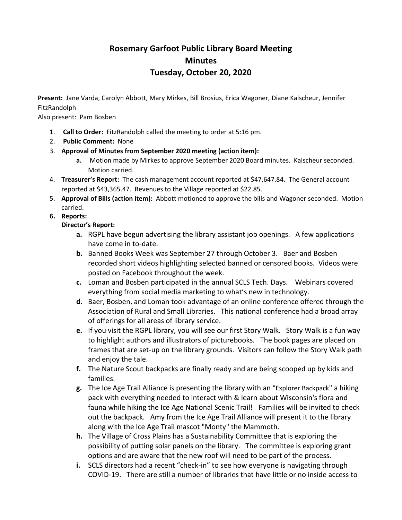# **Rosemary Garfoot Public Library Board Meeting Minutes Tuesday, October 20, 2020**

**Present:** Jane Varda, Carolyn Abbott, Mary Mirkes, Bill Brosius, Erica Wagoner, Diane Kalscheur, Jennifer FitzRandolph

Also present: Pam Bosben

- 1. **Call to Order:** FitzRandolph called the meeting to order at 5:16 pm.
- 2. **Public Comment:** None
- 3. **Approval of Minutes from September 2020 meeting (action item):**
	- **a.** Motion made by Mirkes to approve September 2020 Board minutes. Kalscheur seconded. Motion carried.
- 4. **Treasurer's Report:** The cash management account reported at \$47,647.84. The General account reported at \$43,365.47. Revenues to the Village reported at \$22.85.
- 5. **Approval of Bills (action item):** Abbott motioned to approve the bills and Wagoner seconded. Motion carried.

## **6. Reports:**

**Director's Report:**

- **a.** RGPL have begun advertising the library assistant job openings. A few applications have come in to-date.
- **b.** Banned Books Week was September 27 through October 3. Baer and Bosben recorded short videos highlighting selected banned or censored books. Videos were posted on Facebook throughout the week.
- **c.** Loman and Bosben participated in the annual SCLS Tech. Days. Webinars covered everything from social media marketing to what's new in technology.
- **d.** Baer, Bosben, and Loman took advantage of an online conference offered through the Association of Rural and Small Libraries. This national conference had a broad array of offerings for all areas of library service.
- **e.** If you visit the RGPL library, you will see our first Story Walk. Story Walk is a fun way to highlight authors and illustrators of picturebooks. The book pages are placed on frames that are set-up on the library grounds. Visitors can follow the Story Walk path and enjoy the tale.
- **f.** The Nature Scout backpacks are finally ready and are being scooped up by kids and families.
- **g.** The Ice Age Trail Alliance is presenting the library with an "Explorer Backpack" a hiking pack with everything needed to interact with & learn about Wisconsin's flora and fauna while hiking the Ice Age National Scenic Trail! Families will be invited to check out the backpack. Amy from the Ice Age Trail Alliance will present it to the library along with the Ice Age Trail mascot "Monty" the Mammoth.
- **h.** The Village of Cross Plains has a Sustainability Committee that is exploring the possibility of putting solar panels on the library. The committee is exploring grant options and are aware that the new roof will need to be part of the process.
- **i.** SCLS directors had a recent "check-in" to see how everyone is navigating through COVID-19. There are still a number of libraries that have little or no inside access to